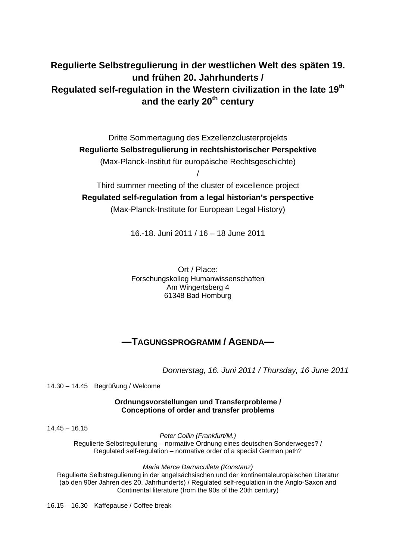# **Regulierte Selbstregulierung in der westlichen Welt des späten 19. und frühen 20. Jahrhunderts / Regulated self-regulation in the Western civilization in the late 19th** and the early 20<sup>th</sup> century

Dritte Sommertagung des Exzellenzclusterprojekts **Regulierte Selbstregulierung in rechtshistorischer Perspektive**  (Max-Planck-Institut für europäische Rechtsgeschichte) /

Third summer meeting of the cluster of excellence project **Regulated self-regulation from a legal historian's perspective**  (Max-Planck-Institute for European Legal History)

16.-18. Juni 2011 / 16 – 18 June 2011

Ort / Place: Forschungskolleg Humanwissenschaften Am Wingertsberg 4 61348 Bad Homburg

# **—TAGUNGSPROGRAMM / AGENDA—**

*Donnerstag, 16. Juni 2011 / Thursday, 16 June 2011* 

14.30 – 14.45 Begrüßung / Welcome

**Ordnungsvorstellungen und Transferprobleme / Conceptions of order and transfer problems** 

 $14.45 - 16.15$ 

*Peter Collin (Frankfurt/M.)* 

Regulierte Selbstregulierung – normative Ordnung eines deutschen Sonderweges? / Regulated self-regulation – normative order of a special German path?

*Maria Merce Darnaculleta (Konstanz)*

Regulierte Selbstregulierung in der angelsächsischen und der kontinentaleuropäischen Literatur (ab den 90er Jahren des 20. Jahrhunderts) / Regulated self-regulation in the Anglo-Saxon and Continental literature (from the 90s of the 20th century)

16.15 – 16.30 Kaffepause / Coffee break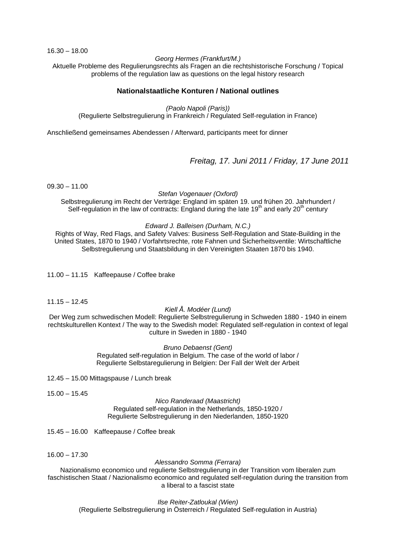16.30 – 18.00

#### *Georg Hermes (Frankfurt/M.)*

Aktuelle Probleme des Regulierungsrechts als Fragen an die rechtshistorische Forschung / Topical problems of the regulation law as questions on the legal history research

## **Nationalstaatliche Konturen / National outlines**

*(Paolo Napoli (Paris))* 

(Regulierte Selbstregulierung in Frankreich / Regulated Self-regulation in France)

Anschließend gemeinsames Abendessen / Afterward, participants meet for dinner

*Freitag, 17. Juni 2011 / Friday, 17 June 2011* 

 $09.30 - 11.00$ 

*Stefan Vogenauer (Oxford)* 

Selbstregulierung im Recht der Verträge: England im späten 19. und frühen 20. Jahrhundert / Self-regulation in the law of contracts: England during the late  $19<sup>th</sup>$  and early  $20<sup>th</sup>$  century

#### *Edward J. Balleisen (Durham, N.C.)*

Rights of Way, Red Flags, and Safety Valves: Business Self-Regulation and State-Building in the United States, 1870 to 1940 / Vorfahrtsrechte, rote Fahnen und Sicherheitsventile: Wirtschaftliche Selbstregulierung und Staatsbildung in den Vereinigten Staaten 1870 bis 1940.

11.00 – 11.15 Kaffeepause / Coffee brake

 $11.15 - 12.45$ 

#### *Kiell Å. Modéer (Lund)*

Der Weg zum schwedischen Modell: Regulierte Selbstregulierung in Schweden 1880 - 1940 in einem rechtskulturellen Kontext / The way to the Swedish model: Regulated self-regulation in context of legal culture in Sweden in 1880 - 1940

#### *Bruno Debaenst (Gent)*

Regulated self-regulation in Belgium. The case of the world of labor / Regulierte Selbstaregulierung in Belgien: Der Fall der Welt der Arbeit

12.45 – 15.00 Mittagspause / Lunch break

15.00 – 15.45

#### *Nico Randeraad (Maastricht)* Regulated self-regulation in the Netherlands, 1850-1920 / Regulierte Selbstregulierung in den Niederlanden, 1850-1920

15.45 – 16.00 Kaffeepause / Coffee break

16.00 – 17.30

#### *Alessandro Somma (Ferrara)*

Nazionalismo economico und regulierte Selbstregulierung in der Transition vom liberalen zum faschistischen Staat / Nazionalismo economico and regulated self-regulation during the transition from a liberal to a fascist state

*Ilse Reiter-Zatloukal (Wien)* 

(Regulierte Selbstregulierung in Österreich / Regulated Self-regulation in Austria)